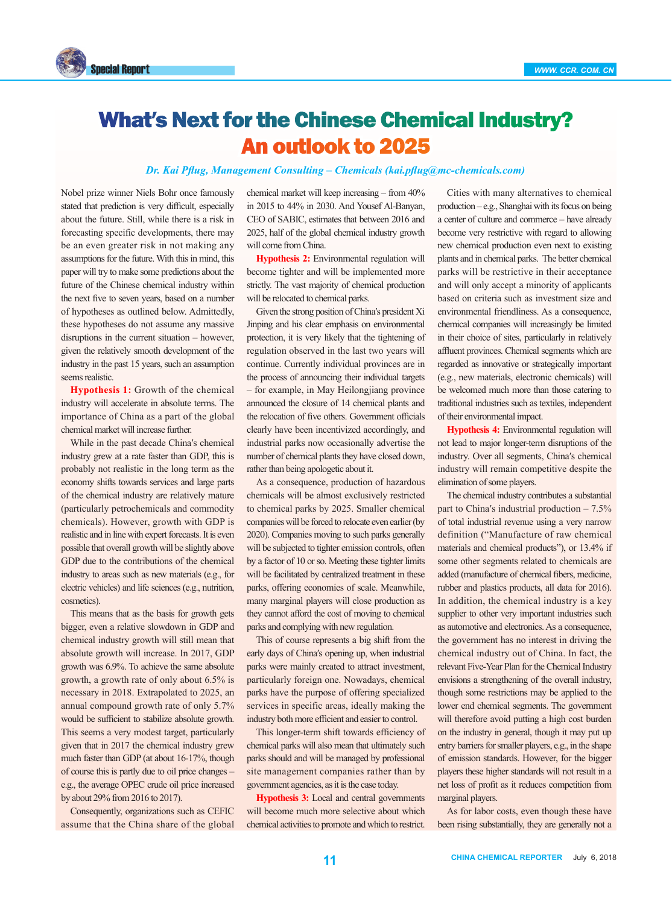

## What′s Next for the Chinese Chemical Industry? An outlook to 2025

*Dr. Kai Pflug, Management Consulting – Chemicals (kai.pflug@mc-chemicals.com)*

Nobel prize winner Niels Bohr once famously stated that prediction is very difficult, especially about the future. Still, while there is a risk in forecasting specific developments, there may be an even greater risk in not making any assumptions for the future. With this in mind, this paper will try to make some predictions about the future of the Chinese chemical industry within the next five to seven years, based on a number of hypotheses as outlined below. Admittedly, these hypotheses do not assume any massive disruptions in the current situation – however, given the relatively smooth development of the industry in the past 15 years, such an assumption seems realistic.

**Hypothesis 1:** Growth of the chemical industry will accelerate in absolute terms. The importance of China as a part of the global chemical market will increase further.

While in the past decade China′s chemical industry grew at a rate faster than GDP, this is probably not realistic in the long term as the economy shifts towards services and large parts of the chemical industry are relatively mature (particularly petrochemicals and commodity chemicals). However, growth with GDP is realistic and in line with expert forecasts. It is even possible that overall growth will be slightly above GDP due to the contributions of the chemical industry to areas such as new materials (e.g., for electric vehicles) and life sciences (e.g., nutrition, cosmetics).

This means that as the basis for growth gets bigger, even a relative slowdown in GDP and chemical industry growth will still mean that absolute growth will increase. In 2017, GDP growth was 6.9%. To achieve the same absolute growth, a growth rate of only about 6.5% is necessary in 2018. Extrapolated to 2025, an annual compound growth rate of only 5.7% would be sufficient to stabilize absolute growth. This seems a very modest target, particularly given that in 2017 the chemical industry grew much faster than GDP (at about 16-17%, though of course this is partly due to oil price changes – e.g., the average OPEC crude oil price increased by about 29% from 2016 to 2017).

Consequently, organizations such as CEFIC assume that the China share of the global chemical market will keep increasing – from 40% in 2015 to 44% in 2030. And Yousef Al-Banyan, CEO of SABIC, estimates that between 2016 and 2025, half of the global chemical industry growth will come from China.

**Hypothesis 2:** Environmental regulation will become tighter and will be implemented more strictly. The vast majority of chemical production will be relocated to chemical parks.

Given the strong position of China′s president Xi Jinping and his clear emphasis on environmental protection, it is very likely that the tightening of regulation observed in the last two years will continue. Currently individual provinces are in the process of announcing their individual targets – for example, in May Heilongjiang province announced the closure of 14 chemical plants and the relocation of five others. Government officials clearly have been incentivized accordingly, and industrial parks now occasionally advertise the number of chemical plants they have closed down, rather than being apologetic about it.

As a consequence, production of hazardous chemicals will be almost exclusively restricted to chemical parks by 2025. Smaller chemical companies will be forced to relocate even earlier (by 2020). Companies moving to such parks generally will be subjected to tighter emission controls, often by a factor of 10 or so. Meeting these tighter limits will be facilitated by centralized treatment in these parks, offering economies of scale. Meanwhile, many marginal players will close production as they cannot afford the cost of moving to chemical parks and complying with new regulation.

This of course represents a big shift from the early days of China′s opening up, when industrial parks were mainly created to attract investment, particularly foreign one. Nowadays, chemical parks have the purpose of offering specialized services in specific areas, ideally making the industry both more efficient and easier to control.

This longer-term shift towards efficiency of chemical parks will also mean that ultimately such parks should and will be managed by professional site management companies rather than by government agencies, as it is the case today.

**Hypothesis 3:** Local and central governments will become much more selective about which chemical activities to promote and which to restrict.

Cities with many alternatives to chemical production – e.g., Shanghai with its focus on being a center of culture and commerce – have already become very restrictive with regard to allowing new chemical production even next to existing plants and in chemical parks. The better chemical parks will be restrictive in their acceptance and will only accept a minority of applicants based on criteria such as investment size and environmental friendliness. As a consequence, chemical companies will increasingly be limited in their choice of sites, particularly in relatively affluent provinces. Chemical segments which are regarded as innovative or strategically important (e.g., new materials, electronic chemicals) will be welcomed much more than those catering to traditional industries such as textiles, independent of their environmental impact.

**Hypothesis 4:** Environmental regulation will not lead to major longer-term disruptions of the industry. Over all segments, China′s chemical industry will remain competitive despite the elimination of some players.

The chemical industry contributes a substantial part to China′s industrial production – 7.5% of total industrial revenue using a very narrow definition ("Manufacture of raw chemical materials and chemical products"), or 13.4% if some other segments related to chemicals are added (manufacture of chemical fibers, medicine, rubber and plastics products, all data for 2016). In addition, the chemical industry is a key supplier to other very important industries such as automotive and electronics. As a consequence, the government has no interest in driving the chemical industry out of China. In fact, the relevant Five-Year Plan for the Chemical Industry envisions a strengthening of the overall industry, though some restrictions may be applied to the lower end chemical segments. The government will therefore avoid putting a high cost burden on the industry in general, though it may put up entry barriers for smaller players, e.g., in the shape of emission standards. However, for the bigger players these higher standards will not result in a net loss of profit as it reduces competition from marginal players.

As for labor costs, even though these have been rising substantially, they are generally not a